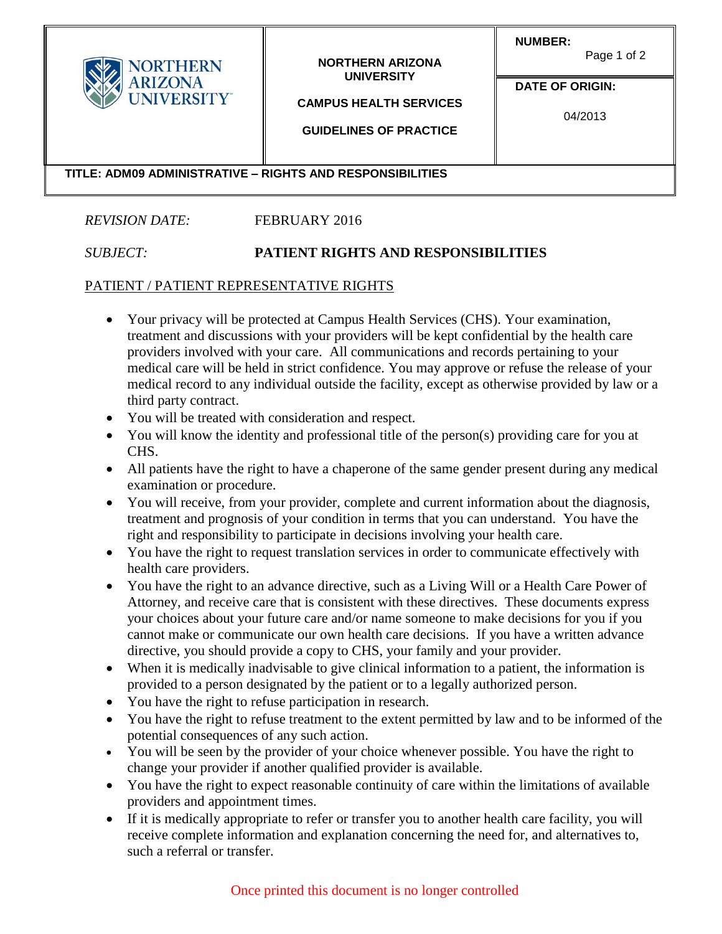| <b>NORTHERN</b><br><b>ARIZONA</b><br><b>UNIVERSITY®</b>   | <b>NORTHERN ARIZONA</b><br><b>UNIVERSITY</b><br><b>CAMPUS HEALTH SERVICES</b><br><b>GUIDELINES OF PRACTICE</b> | <b>NUMBER:</b><br>Page 1 of 2<br><b>DATE OF ORIGIN:</b><br>04/2013 |  |
|-----------------------------------------------------------|----------------------------------------------------------------------------------------------------------------|--------------------------------------------------------------------|--|
| TITLE: ADM09 ADMINISTRATIVE - RIGHTS AND RESPONSIBILITIES |                                                                                                                |                                                                    |  |

## *REVISION DATE:* FEBRUARY 2016

## *SUBJECT:* **PATIENT RIGHTS AND RESPONSIBILITIES**

## PATIENT / PATIENT REPRESENTATIVE RIGHTS

- Your privacy will be protected at Campus Health Services (CHS). Your examination, treatment and discussions with your providers will be kept confidential by the health care providers involved with your care. All communications and records pertaining to your medical care will be held in strict confidence. You may approve or refuse the release of your medical record to any individual outside the facility, except as otherwise provided by law or a third party contract.
- You will be treated with consideration and respect.
- You will know the identity and professional title of the person(s) providing care for you at CHS.
- All patients have the right to have a chaperone of the same gender present during any medical examination or procedure.
- You will receive, from your provider, complete and current information about the diagnosis, treatment and prognosis of your condition in terms that you can understand. You have the right and responsibility to participate in decisions involving your health care.
- You have the right to request translation services in order to communicate effectively with health care providers.
- You have the right to an advance directive, such as a Living Will or a Health Care Power of Attorney, and receive care that is consistent with these directives. These documents express your choices about your future care and/or name someone to make decisions for you if you cannot make or communicate our own health care decisions. If you have a written advance directive, you should provide a copy to CHS, your family and your provider.
- When it is medically inadvisable to give clinical information to a patient, the information is provided to a person designated by the patient or to a legally authorized person.
- You have the right to refuse participation in research.
- You have the right to refuse treatment to the extent permitted by law and to be informed of the potential consequences of any such action.
- You will be seen by the provider of your choice whenever possible. You have the right to change your provider if another qualified provider is available.
- You have the right to expect reasonable continuity of care within the limitations of available providers and appointment times.
- If it is medically appropriate to refer or transfer you to another health care facility, you will receive complete information and explanation concerning the need for, and alternatives to, such a referral or transfer.